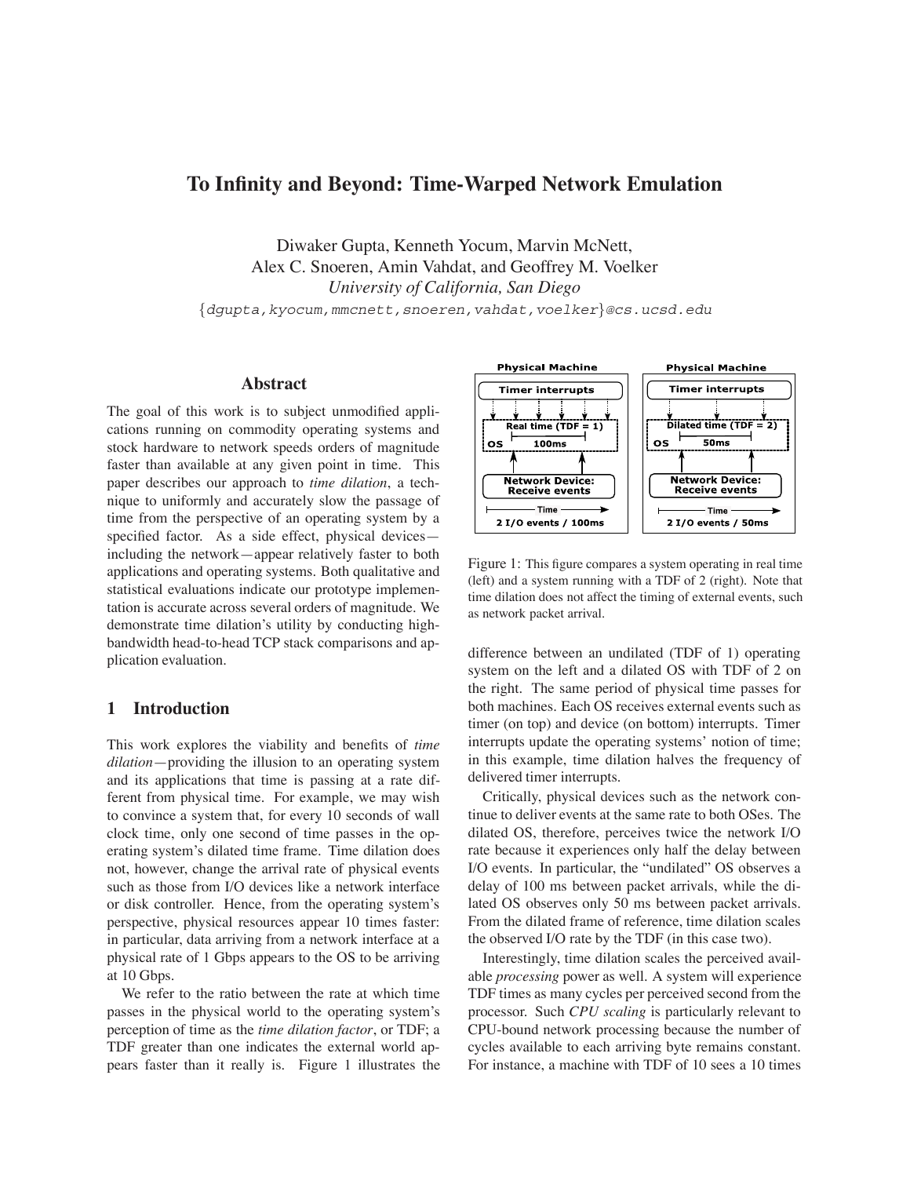# **To Infinity and Beyond: Time-Warped Network Emulation**

Diwaker Gupta, Kenneth Yocum, Marvin McNett, Alex C. Snoeren, Amin Vahdat, and Geoffrey M. Voelker *University of California, San Diego*

*{*dgupta,kyocum,mmcnett,snoeren,vahdat,voelker*}*@cs.ucsd.edu

### **Abstract**

The goal of this work is to subject unmodified applications running on commodity operating systems and stock hardware to network speeds orders of magnitude faster than available at any given point in time. This paper describes our approach to *time dilation*, a technique to uniformly and accurately slow the passage of time from the perspective of an operating system by a specified factor. As a side effect, physical devices including the network—appear relatively faster to both applications and operating systems. Both qualitative and statistical evaluations indicate our prototype implementation is accurate across several orders of magnitude. We demonstrate time dilation's utility by conducting highbandwidth head-to-head TCP stack comparisons and application evaluation.

#### **1 Introduction**

This work explores the viability and benefits of *time dilation*—providing the illusion to an operating system and its applications that time is passing at a rate different from physical time. For example, we may wish to convince a system that, for every 10 seconds of wall clock time, only one second of time passes in the operating system's dilated time frame. Time dilation does not, however, change the arrival rate of physical events such as those from I/O devices like a network interface or disk controller. Hence, from the operating system's perspective, physical resources appear 10 times faster: in particular, data arriving from a network interface at a physical rate of 1 Gbps appears to the OS to be arriving at 10 Gbps.

We refer to the ratio between the rate at which time passes in the physical world to the operating system's perception of time as the *time dilation factor*, or TDF; a TDF greater than one indicates the external world appears faster than it really is. Figure 1 illustrates the



Figure 1: This figure compares a system operating in real time (left) and a system running with a TDF of 2 (right). Note that time dilation does not affect the timing of external events, such as network packet arrival.

difference between an undilated (TDF of 1) operating system on the left and a dilated OS with TDF of 2 on the right. The same period of physical time passes for both machines. Each OS receives external events such as timer (on top) and device (on bottom) interrupts. Timer interrupts update the operating systems' notion of time; in this example, time dilation halves the frequency of delivered timer interrupts.

Critically, physical devices such as the network continue to deliver events at the same rate to both OSes. The dilated OS, therefore, perceives twice the network I/O rate because it experiences only half the delay between I/O events. In particular, the "undilated" OS observes a delay of 100 ms between packet arrivals, while the dilated OS observes only 50 ms between packet arrivals. From the dilated frame of reference, time dilation scales the observed I/O rate by the TDF (in this case two).

Interestingly, time dilation scales the perceived available *processing* power as well. A system will experience TDF times as many cycles per perceived second from the processor. Such *CPU scaling* is particularly relevant to CPU-bound network processing because the number of cycles available to each arriving byte remains constant. For instance, a machine with TDF of 10 sees a 10 times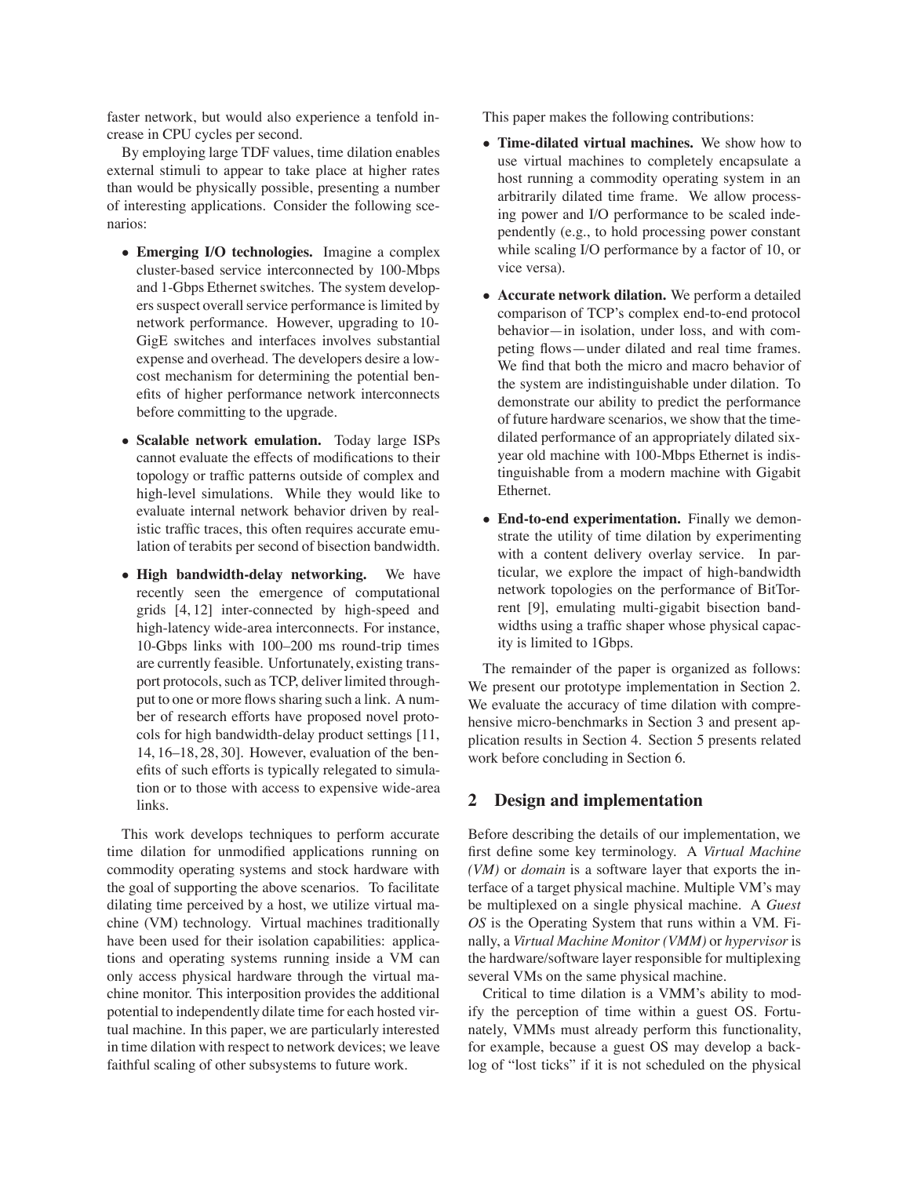faster network, but would also experience a tenfold increase in CPU cycles per second.

By employing large TDF values, time dilation enables external stimuli to appear to take place at higher rates than would be physically possible, presenting a number of interesting applications. Consider the following scenarios:

- *•* **Emerging I/O technologies.** Imagine a complex cluster-based service interconnected by 100-Mbps and 1-Gbps Ethernet switches. The system developers suspect overall service performance is limited by network performance. However, upgrading to 10- GigE switches and interfaces involves substantial expense and overhead. The developers desire a lowcost mechanism for determining the potential benefits of higher performance network interconnects before committing to the upgrade.
- *•* **Scalable network emulation.** Today large ISPs cannot evaluate the effects of modifications to their topology or traffic patterns outside of complex and high-level simulations. While they would like to evaluate internal network behavior driven by realistic traffic traces, this often requires accurate emulation of terabits per second of bisection bandwidth.
- *•* **High bandwidth-delay networking.** We have recently seen the emergence of computational grids [4, 12] inter-connected by high-speed and high-latency wide-area interconnects. For instance, 10-Gbps links with 100–200 ms round-trip times are currently feasible. Unfortunately, existing transport protocols, such as TCP, deliver limited throughput to one or more flows sharing such a link. A number of research efforts have proposed novel protocols for high bandwidth-delay product settings [11, 14, 16–18, 28, 30]. However, evaluation of the benefits of such efforts is typically relegated to simulation or to those with access to expensive wide-area links.

This work develops techniques to perform accurate time dilation for unmodified applications running on commodity operating systems and stock hardware with the goal of supporting the above scenarios. To facilitate dilating time perceived by a host, we utilize virtual machine (VM) technology. Virtual machines traditionally have been used for their isolation capabilities: applications and operating systems running inside a VM can only access physical hardware through the virtual machine monitor. This interposition provides the additional potential to independently dilate time for each hosted virtual machine. In this paper, we are particularly interested in time dilation with respect to network devices; we leave faithful scaling of other subsystems to future work.

This paper makes the following contributions:

- *•* **Time-dilated virtual machines.** We show how to use virtual machines to completely encapsulate a host running a commodity operating system in an arbitrarily dilated time frame. We allow processing power and I/O performance to be scaled independently (e.g., to hold processing power constant while scaling I/O performance by a factor of 10, or vice versa).
- *•* **Accurate network dilation.** We perform a detailed comparison of TCP's complex end-to-end protocol behavior—in isolation, under loss, and with competing flows—under dilated and real time frames. We find that both the micro and macro behavior of the system are indistinguishable under dilation. To demonstrate our ability to predict the performance of future hardware scenarios, we show that the timedilated performance of an appropriately dilated sixyear old machine with 100-Mbps Ethernet is indistinguishable from a modern machine with Gigabit Ethernet.
- *•* **End-to-end experimentation.** Finally we demonstrate the utility of time dilation by experimenting with a content delivery overlay service. In particular, we explore the impact of high-bandwidth network topologies on the performance of BitTorrent [9], emulating multi-gigabit bisection bandwidths using a traffic shaper whose physical capacity is limited to 1Gbps.

The remainder of the paper is organized as follows: We present our prototype implementation in Section 2. We evaluate the accuracy of time dilation with comprehensive micro-benchmarks in Section 3 and present application results in Section 4. Section 5 presents related work before concluding in Section 6.

### **2 Design and implementation**

Before describing the details of our implementation, we first define some key terminology. A *Virtual Machine (VM)* or *domain* is a software layer that exports the interface of a target physical machine. Multiple VM's may be multiplexed on a single physical machine. A *Guest OS* is the Operating System that runs within a VM. Finally, a *Virtual Machine Monitor (VMM)* or *hypervisor* is the hardware/software layer responsible for multiplexing several VMs on the same physical machine.

Critical to time dilation is a VMM's ability to modify the perception of time within a guest OS. Fortunately, VMMs must already perform this functionality, for example, because a guest OS may develop a backlog of "lost ticks" if it is not scheduled on the physical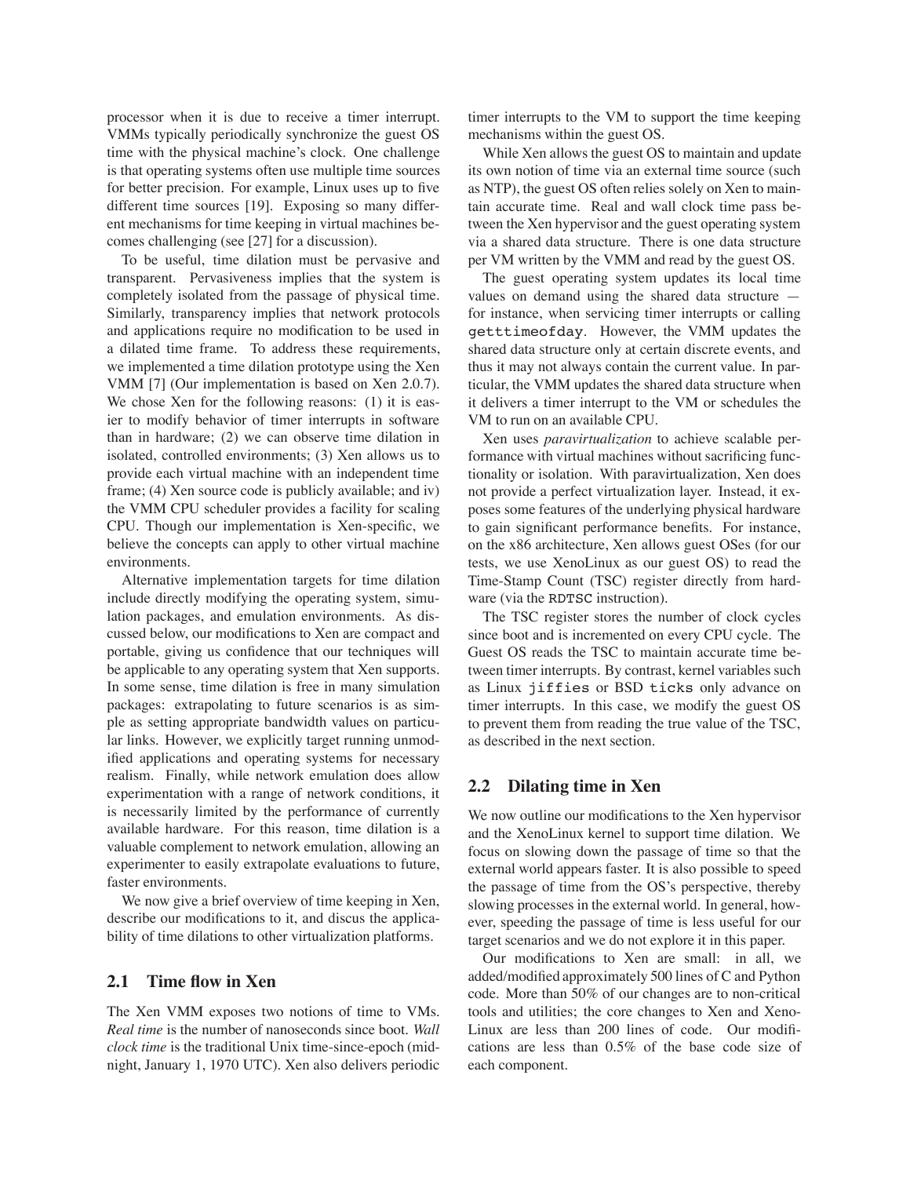processor when it is due to receive a timer interrupt. VMMs typically periodically synchronize the guest OS time with the physical machine's clock. One challenge is that operating systems often use multiple time sources for better precision. For example, Linux uses up to five different time sources [19]. Exposing so many different mechanisms for time keeping in virtual machines becomes challenging (see [27] for a discussion).

To be useful, time dilation must be pervasive and transparent. Pervasiveness implies that the system is completely isolated from the passage of physical time. Similarly, transparency implies that network protocols and applications require no modification to be used in a dilated time frame. To address these requirements, we implemented a time dilation prototype using the Xen VMM [7] (Our implementation is based on Xen 2.0.7). We chose Xen for the following reasons: (1) it is easier to modify behavior of timer interrupts in software than in hardware; (2) we can observe time dilation in isolated, controlled environments; (3) Xen allows us to provide each virtual machine with an independent time frame; (4) Xen source code is publicly available; and iv) the VMM CPU scheduler provides a facility for scaling CPU. Though our implementation is Xen-specific, we believe the concepts can apply to other virtual machine environments.

Alternative implementation targets for time dilation include directly modifying the operating system, simulation packages, and emulation environments. As discussed below, our modifications to Xen are compact and portable, giving us confidence that our techniques will be applicable to any operating system that Xen supports. In some sense, time dilation is free in many simulation packages: extrapolating to future scenarios is as simple as setting appropriate bandwidth values on particular links. However, we explicitly target running unmodified applications and operating systems for necessary realism. Finally, while network emulation does allow experimentation with a range of network conditions, it is necessarily limited by the performance of currently available hardware. For this reason, time dilation is a valuable complement to network emulation, allowing an experimenter to easily extrapolate evaluations to future, faster environments.

We now give a brief overview of time keeping in Xen, describe our modifications to it, and discus the applicability of time dilations to other virtualization platforms.

## **2.1 Time flow in Xen**

The Xen VMM exposes two notions of time to VMs. *Real time* is the number of nanoseconds since boot. *Wall clock time* is the traditional Unix time-since-epoch (midnight, January 1, 1970 UTC). Xen also delivers periodic timer interrupts to the VM to support the time keeping mechanisms within the guest OS.

While Xen allows the guest OS to maintain and update its own notion of time via an external time source (such as NTP), the guest OS often relies solely on Xen to maintain accurate time. Real and wall clock time pass between the Xen hypervisor and the guest operating system via a shared data structure. There is one data structure per VM written by the VMM and read by the guest OS.

The guest operating system updates its local time values on demand using the shared data structure for instance, when servicing timer interrupts or calling getttimeofday. However, the VMM updates the shared data structure only at certain discrete events, and thus it may not always contain the current value. In particular, the VMM updates the shared data structure when it delivers a timer interrupt to the VM or schedules the VM to run on an available CPU.

Xen uses *paravirtualization* to achieve scalable performance with virtual machines without sacrificing functionality or isolation. With paravirtualization, Xen does not provide a perfect virtualization layer. Instead, it exposes some features of the underlying physical hardware to gain significant performance benefits. For instance, on the x86 architecture, Xen allows guest OSes (for our tests, we use XenoLinux as our guest OS) to read the Time-Stamp Count (TSC) register directly from hardware (via the RDTSC instruction).

The TSC register stores the number of clock cycles since boot and is incremented on every CPU cycle. The Guest OS reads the TSC to maintain accurate time between timer interrupts. By contrast, kernel variables such as Linux jiffies or BSD ticks only advance on timer interrupts. In this case, we modify the guest OS to prevent them from reading the true value of the TSC, as described in the next section.

### **2.2 Dilating time in Xen**

We now outline our modifications to the Xen hypervisor and the XenoLinux kernel to support time dilation. We focus on slowing down the passage of time so that the external world appears faster. It is also possible to speed the passage of time from the OS's perspective, thereby slowing processes in the external world. In general, however, speeding the passage of time is less useful for our target scenarios and we do not explore it in this paper.

Our modifications to Xen are small: in all, we added/modified approximately 500 lines of C and Python code. More than 50% of our changes are to non-critical tools and utilities; the core changes to Xen and Xeno-Linux are less than 200 lines of code. Our modifications are less than 0.5% of the base code size of each component.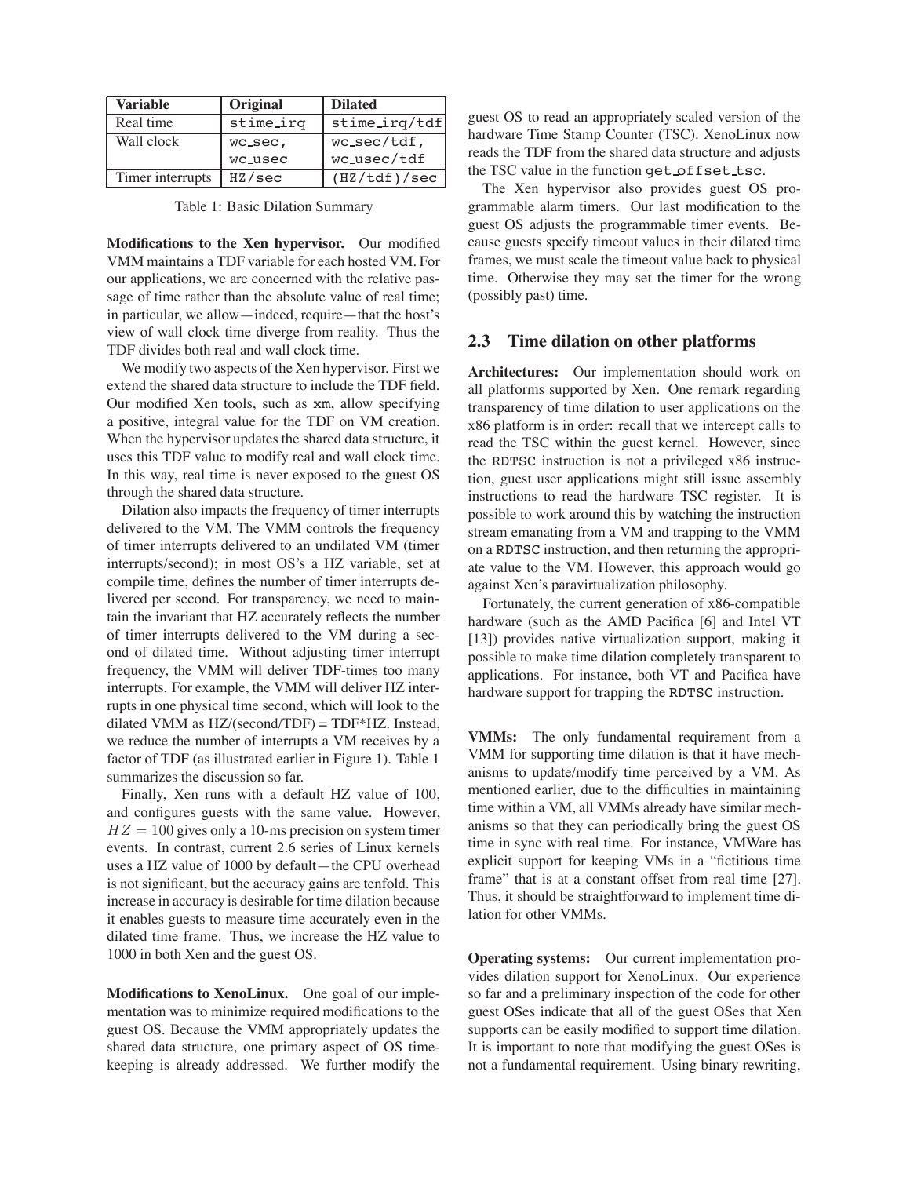| Variable         | Original  | <b>Dilated</b>  |  |
|------------------|-----------|-----------------|--|
| Real time        | stime_irq | stime_irq/tdf   |  |
| Wall clock       | wc_sec,   | $wc\_sec/tdf$ , |  |
|                  | wc_usec   | wc_usec/tdf     |  |
| Timer interrupts | HZ/sec    | (HZ/tdf)/sec    |  |

Table 1: Basic Dilation Summary

**Modifications to the Xen hypervisor.** Our modified VMM maintains a TDF variable for each hosted VM. For our applications, we are concerned with the relative passage of time rather than the absolute value of real time; in particular, we allow—indeed, require—that the host's view of wall clock time diverge from reality. Thus the TDF divides both real and wall clock time.

We modify two aspects of the Xen hypervisor. First we extend the shared data structure to include the TDF field. Our modified Xen tools, such as xm, allow specifying a positive, integral value for the TDF on VM creation. When the hypervisor updates the shared data structure, it uses this TDF value to modify real and wall clock time. In this way, real time is never exposed to the guest OS through the shared data structure.

Dilation also impacts the frequency of timer interrupts delivered to the VM. The VMM controls the frequency of timer interrupts delivered to an undilated VM (timer interrupts/second); in most OS's a HZ variable, set at compile time, defines the number of timer interrupts delivered per second. For transparency, we need to maintain the invariant that HZ accurately reflects the number of timer interrupts delivered to the VM during a second of dilated time. Without adjusting timer interrupt frequency, the VMM will deliver TDF-times too many interrupts. For example, the VMM will deliver HZ interrupts in one physical time second, which will look to the dilated VMM as HZ/(second/TDF) = TDF\*HZ. Instead, we reduce the number of interrupts a VM receives by a factor of TDF (as illustrated earlier in Figure 1). Table 1 summarizes the discussion so far.

Finally, Xen runs with a default HZ value of 100, and configures guests with the same value. However,  $HZ = 100$  gives only a 10-ms precision on system timer events. In contrast, current 2.6 series of Linux kernels uses a HZ value of 1000 by default—the CPU overhead is not significant, but the accuracy gains are tenfold. This increase in accuracy is desirable for time dilation because it enables guests to measure time accurately even in the dilated time frame. Thus, we increase the HZ value to 1000 in both Xen and the guest OS.

**Modifications to XenoLinux.** One goal of our implementation was to minimize required modifications to the guest OS. Because the VMM appropriately updates the shared data structure, one primary aspect of OS timekeeping is already addressed. We further modify the

guest OS to read an appropriately scaled version of the hardware Time Stamp Counter (TSC). XenoLinux now reads the TDF from the shared data structure and adjusts the TSC value in the function get offset tsc.

The Xen hypervisor also provides guest OS programmable alarm timers. Our last modification to the guest OS adjusts the programmable timer events. Because guests specify timeout values in their dilated time frames, we must scale the timeout value back to physical time. Otherwise they may set the timer for the wrong (possibly past) time.

#### **2.3 Time dilation on other platforms**

**Architectures:** Our implementation should work on all platforms supported by Xen. One remark regarding transparency of time dilation to user applications on the x86 platform is in order: recall that we intercept calls to read the TSC within the guest kernel. However, since the RDTSC instruction is not a privileged x86 instruction, guest user applications might still issue assembly instructions to read the hardware TSC register. It is possible to work around this by watching the instruction stream emanating from a VM and trapping to the VMM on a RDTSC instruction, and then returning the appropriate value to the VM. However, this approach would go against Xen's paravirtualization philosophy.

Fortunately, the current generation of x86-compatible hardware (such as the AMD Pacifica [6] and Intel VT [13]) provides native virtualization support, making it possible to make time dilation completely transparent to applications. For instance, both VT and Pacifica have hardware support for trapping the RDTSC instruction.

**VMMs:** The only fundamental requirement from a VMM for supporting time dilation is that it have mechanisms to update/modify time perceived by a VM. As mentioned earlier, due to the difficulties in maintaining time within a VM, all VMMs already have similar mechanisms so that they can periodically bring the guest OS time in sync with real time. For instance, VMWare has explicit support for keeping VMs in a "fictitious time frame" that is at a constant offset from real time [27]. Thus, it should be straightforward to implement time dilation for other VMMs.

**Operating systems:** Our current implementation provides dilation support for XenoLinux. Our experience so far and a preliminary inspection of the code for other guest OSes indicate that all of the guest OSes that Xen supports can be easily modified to support time dilation. It is important to note that modifying the guest OSes is not a fundamental requirement. Using binary rewriting,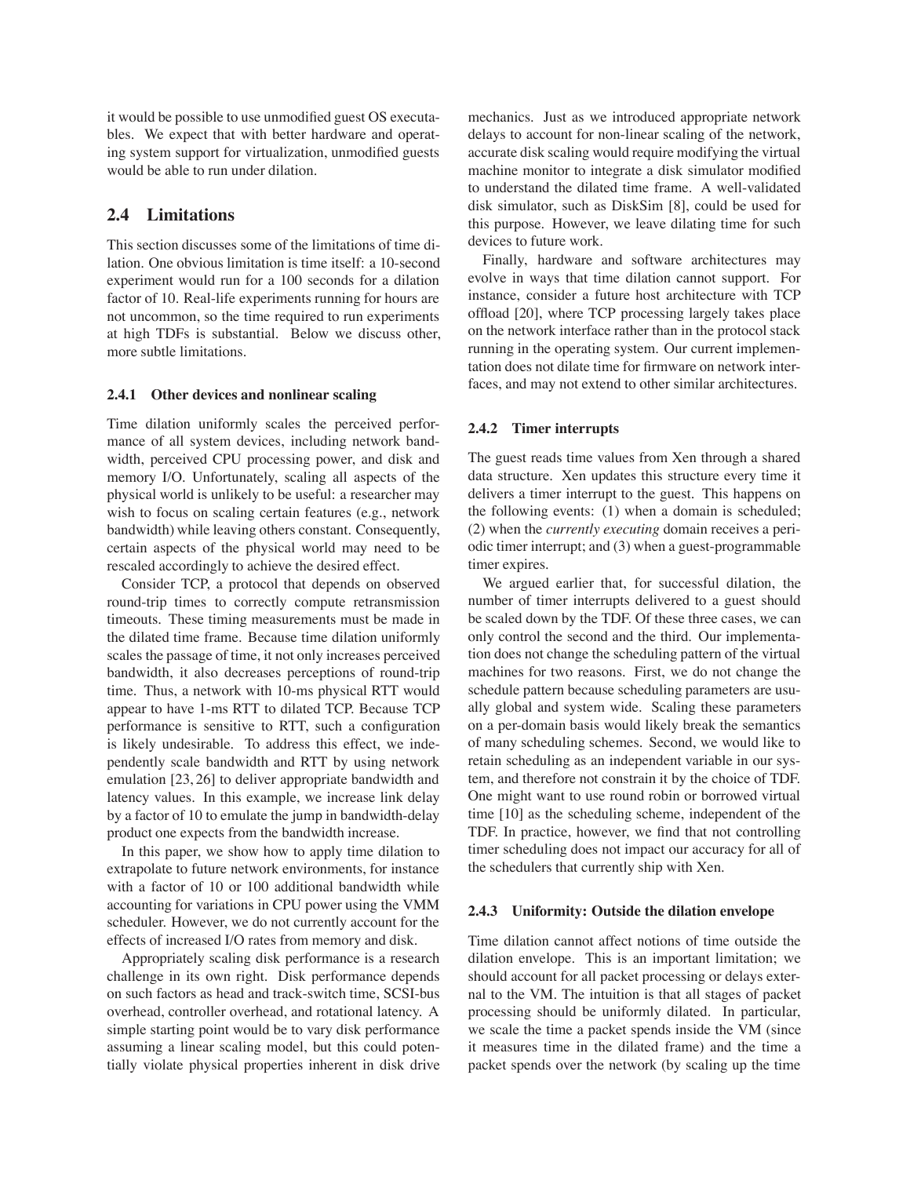it would be possible to use unmodified guest OS executables. We expect that with better hardware and operating system support for virtualization, unmodified guests would be able to run under dilation.

#### **2.4 Limitations**

This section discusses some of the limitations of time dilation. One obvious limitation is time itself: a 10-second experiment would run for a 100 seconds for a dilation factor of 10. Real-life experiments running for hours are not uncommon, so the time required to run experiments at high TDFs is substantial. Below we discuss other, more subtle limitations.

#### **2.4.1 Other devices and nonlinear scaling**

Time dilation uniformly scales the perceived performance of all system devices, including network bandwidth, perceived CPU processing power, and disk and memory I/O. Unfortunately, scaling all aspects of the physical world is unlikely to be useful: a researcher may wish to focus on scaling certain features (e.g., network bandwidth) while leaving others constant. Consequently, certain aspects of the physical world may need to be rescaled accordingly to achieve the desired effect.

Consider TCP, a protocol that depends on observed round-trip times to correctly compute retransmission timeouts. These timing measurements must be made in the dilated time frame. Because time dilation uniformly scales the passage of time, it not only increases perceived bandwidth, it also decreases perceptions of round-trip time. Thus, a network with 10-ms physical RTT would appear to have 1-ms RTT to dilated TCP. Because TCP performance is sensitive to RTT, such a configuration is likely undesirable. To address this effect, we independently scale bandwidth and RTT by using network emulation [23, 26] to deliver appropriate bandwidth and latency values. In this example, we increase link delay by a factor of 10 to emulate the jump in bandwidth-delay product one expects from the bandwidth increase.

In this paper, we show how to apply time dilation to extrapolate to future network environments, for instance with a factor of 10 or 100 additional bandwidth while accounting for variations in CPU power using the VMM scheduler. However, we do not currently account for the effects of increased I/O rates from memory and disk.

Appropriately scaling disk performance is a research challenge in its own right. Disk performance depends on such factors as head and track-switch time, SCSI-bus overhead, controller overhead, and rotational latency. A simple starting point would be to vary disk performance assuming a linear scaling model, but this could potentially violate physical properties inherent in disk drive

mechanics. Just as we introduced appropriate network delays to account for non-linear scaling of the network, accurate disk scaling would require modifying the virtual machine monitor to integrate a disk simulator modified to understand the dilated time frame. A well-validated disk simulator, such as DiskSim [8], could be used for this purpose. However, we leave dilating time for such devices to future work.

Finally, hardware and software architectures may evolve in ways that time dilation cannot support. For instance, consider a future host architecture with TCP offload [20], where TCP processing largely takes place on the network interface rather than in the protocol stack running in the operating system. Our current implementation does not dilate time for firmware on network interfaces, and may not extend to other similar architectures.

#### **2.4.2 Timer interrupts**

The guest reads time values from Xen through a shared data structure. Xen updates this structure every time it delivers a timer interrupt to the guest. This happens on the following events: (1) when a domain is scheduled; (2) when the *currently executing* domain receives a periodic timer interrupt; and (3) when a guest-programmable timer expires.

We argued earlier that, for successful dilation, the number of timer interrupts delivered to a guest should be scaled down by the TDF. Of these three cases, we can only control the second and the third. Our implementation does not change the scheduling pattern of the virtual machines for two reasons. First, we do not change the schedule pattern because scheduling parameters are usually global and system wide. Scaling these parameters on a per-domain basis would likely break the semantics of many scheduling schemes. Second, we would like to retain scheduling as an independent variable in our system, and therefore not constrain it by the choice of TDF. One might want to use round robin or borrowed virtual time [10] as the scheduling scheme, independent of the TDF. In practice, however, we find that not controlling timer scheduling does not impact our accuracy for all of the schedulers that currently ship with Xen.

#### **2.4.3 Uniformity: Outside the dilation envelope**

Time dilation cannot affect notions of time outside the dilation envelope. This is an important limitation; we should account for all packet processing or delays external to the VM. The intuition is that all stages of packet processing should be uniformly dilated. In particular, we scale the time a packet spends inside the VM (since it measures time in the dilated frame) and the time a packet spends over the network (by scaling up the time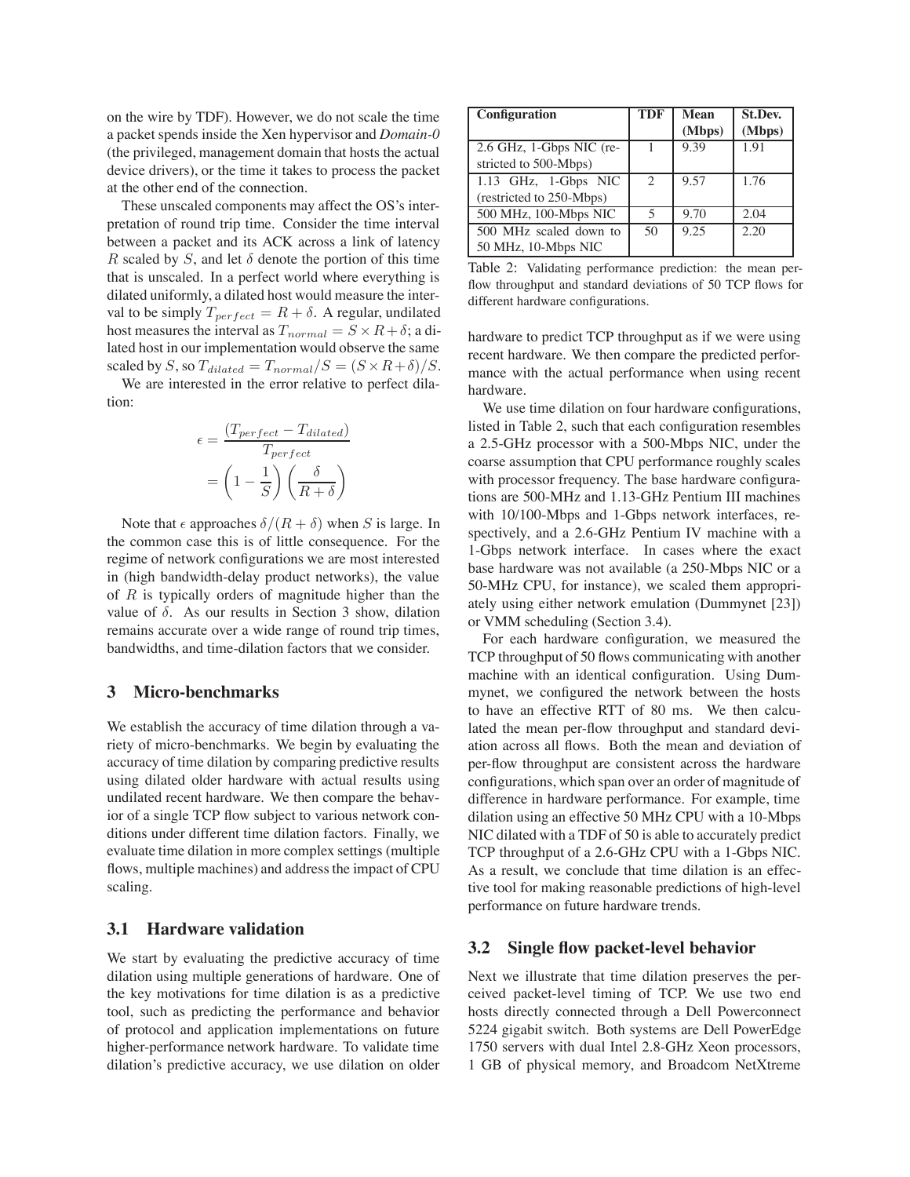on the wire by TDF). However, we do not scale the time a packet spends inside the Xen hypervisor and *Domain-0* (the privileged, management domain that hosts the actual device drivers), or the time it takes to process the packet at the other end of the connection.

These unscaled components may affect the OS's interpretation of round trip time. Consider the time interval between a packet and its ACK across a link of latency R scaled by S, and let  $\delta$  denote the portion of this time that is unscaled. In a perfect world where everything is dilated uniformly, a dilated host would measure the interval to be simply  $T_{perfect} = R + \delta$ . A regular, undilated host measures the interval as  $T_{normal} = S \times R + \delta$ ; a dilated host in our implementation would observe the same scaled by S, so  $T_{dilateral} = T_{normal}/S = (S \times R + \delta)/S$ .

We are interested in the error relative to perfect dilation:

$$
\epsilon = \frac{(T_{perfect} - T_{dilated})}{T_{perfect}}
$$

$$
= \left(1 - \frac{1}{S}\right) \left(\frac{\delta}{R + \delta}\right)
$$

Note that  $\epsilon$  approaches  $\delta/(R+\delta)$  when S is large. In the common case this is of little consequence. For the regime of network configurations we are most interested in (high bandwidth-delay product networks), the value of  $R$  is typically orders of magnitude higher than the value of  $\delta$ . As our results in Section 3 show, dilation remains accurate over a wide range of round trip times, bandwidths, and time-dilation factors that we consider.

#### **3 Micro-benchmarks**

We establish the accuracy of time dilation through a variety of micro-benchmarks. We begin by evaluating the accuracy of time dilation by comparing predictive results using dilated older hardware with actual results using undilated recent hardware. We then compare the behavior of a single TCP flow subject to various network conditions under different time dilation factors. Finally, we evaluate time dilation in more complex settings (multiple flows, multiple machines) and address the impact of CPU scaling.

#### **3.1 Hardware validation**

We start by evaluating the predictive accuracy of time dilation using multiple generations of hardware. One of the key motivations for time dilation is as a predictive tool, such as predicting the performance and behavior of protocol and application implementations on future higher-performance network hardware. To validate time dilation's predictive accuracy, we use dilation on older

| Configuration                                     | <b>TDF</b>    | Mean<br>(Mbps) | <b>St.Dev.</b><br>(Mbps) |
|---------------------------------------------------|---------------|----------------|--------------------------|
| 2.6 GHz, 1-Gbps NIC (re-<br>stricted to 500-Mbps) |               | 9.39           | 1.91                     |
| 1.13 GHz, 1-Gbps NIC<br>(restricted to 250-Mbps)  | $\mathcal{L}$ | 9.57           | 1.76                     |
| 500 MHz, 100-Mbps NIC                             | 5             | 9.70           | 2.04                     |
| 500 MHz scaled down to<br>50 MHz, 10-Mbps NIC     | 50            | 9.25           | 2.20                     |

Table 2: Validating performance prediction: the mean perflow throughput and standard deviations of 50 TCP flows for different hardware configurations.

hardware to predict TCP throughput as if we were using recent hardware. We then compare the predicted performance with the actual performance when using recent hardware.

We use time dilation on four hardware configurations, listed in Table 2, such that each configuration resembles a 2.5-GHz processor with a 500-Mbps NIC, under the coarse assumption that CPU performance roughly scales with processor frequency. The base hardware configurations are 500-MHz and 1.13-GHz Pentium III machines with 10/100-Mbps and 1-Gbps network interfaces, respectively, and a 2.6-GHz Pentium IV machine with a 1-Gbps network interface. In cases where the exact base hardware was not available (a 250-Mbps NIC or a 50-MHz CPU, for instance), we scaled them appropriately using either network emulation (Dummynet [23]) or VMM scheduling (Section 3.4).

For each hardware configuration, we measured the TCP throughput of 50 flows communicating with another machine with an identical configuration. Using Dummynet, we configured the network between the hosts to have an effective RTT of 80 ms. We then calculated the mean per-flow throughput and standard deviation across all flows. Both the mean and deviation of per-flow throughput are consistent across the hardware configurations, which span over an order of magnitude of difference in hardware performance. For example, time dilation using an effective 50 MHz CPU with a 10-Mbps NIC dilated with a TDF of 50 is able to accurately predict TCP throughput of a 2.6-GHz CPU with a 1-Gbps NIC. As a result, we conclude that time dilation is an effective tool for making reasonable predictions of high-level performance on future hardware trends.

### **3.2 Single flow packet-level behavior**

Next we illustrate that time dilation preserves the perceived packet-level timing of TCP. We use two end hosts directly connected through a Dell Powerconnect 5224 gigabit switch. Both systems are Dell PowerEdge 1750 servers with dual Intel 2.8-GHz Xeon processors, 1 GB of physical memory, and Broadcom NetXtreme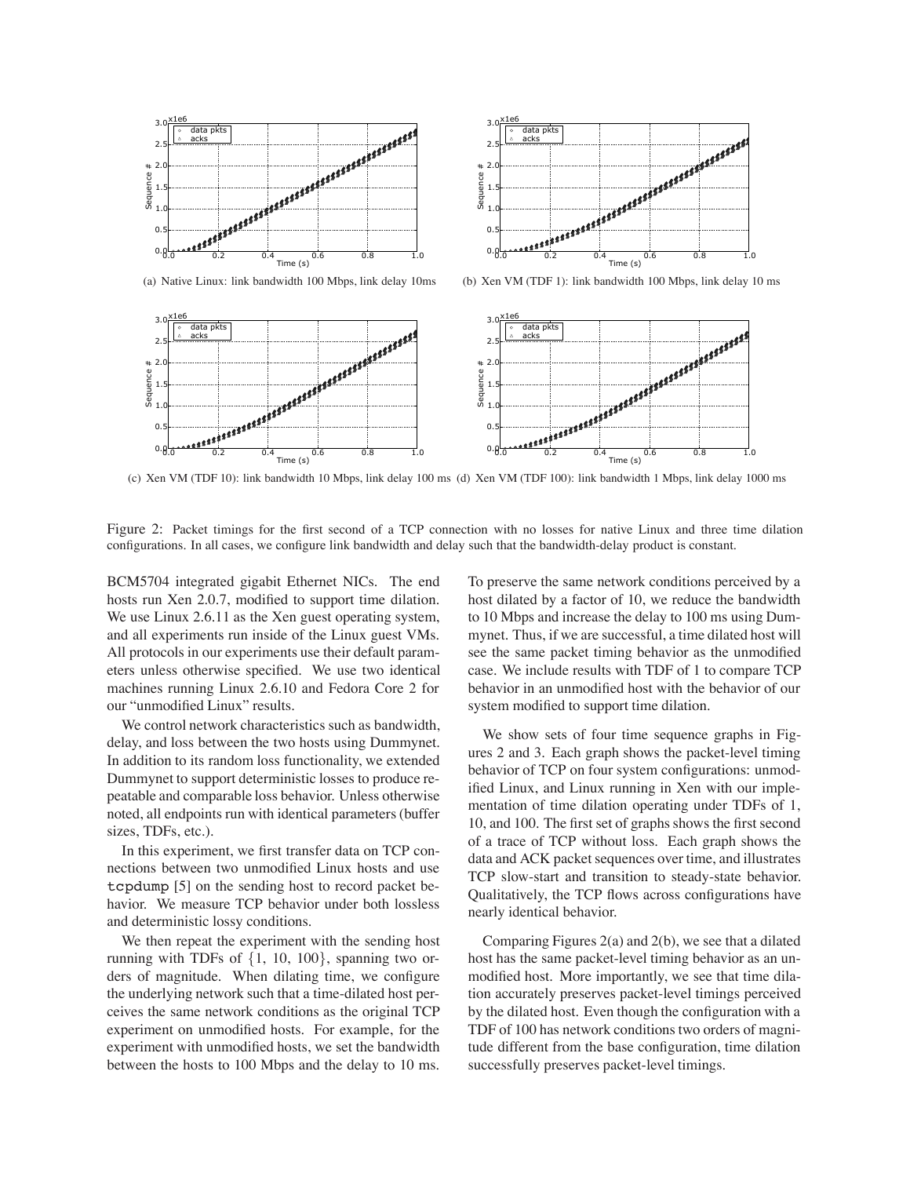

(a) Native Linux: link bandwidth 100 Mbps, link delay 10ms



(b) Xen VM (TDF 1): link bandwidth 100 Mbps, link delay 10 ms



(c) Xen VM (TDF 10): link bandwidth 10 Mbps, link delay 100 ms (d) Xen VM (TDF 100): link bandwidth 1 Mbps, link delay 1000 ms

Figure 2: Packet timings for the first second of a TCP connection with no losses for native Linux and three time dilation configurations. In all cases, we configure link bandwidth and delay such that the bandwidth-delay product is constant.

BCM5704 integrated gigabit Ethernet NICs. The end hosts run Xen 2.0.7, modified to support time dilation. We use Linux 2.6.11 as the Xen guest operating system, and all experiments run inside of the Linux guest VMs. All protocols in our experiments use their default parameters unless otherwise specified. We use two identical machines running Linux 2.6.10 and Fedora Core 2 for our "unmodified Linux" results.

We control network characteristics such as bandwidth, delay, and loss between the two hosts using Dummynet. In addition to its random loss functionality, we extended Dummynet to support deterministic losses to produce repeatable and comparable loss behavior. Unless otherwise noted, all endpoints run with identical parameters (buffer sizes, TDFs, etc.).

In this experiment, we first transfer data on TCP connections between two unmodified Linux hosts and use tcpdump [5] on the sending host to record packet behavior. We measure TCP behavior under both lossless and deterministic lossy conditions.

We then repeat the experiment with the sending host running with TDFs of *{*1, 10, 100*}*, spanning two orders of magnitude. When dilating time, we configure the underlying network such that a time-dilated host perceives the same network conditions as the original TCP experiment on unmodified hosts. For example, for the experiment with unmodified hosts, we set the bandwidth between the hosts to 100 Mbps and the delay to 10 ms.

To preserve the same network conditions perceived by a host dilated by a factor of 10, we reduce the bandwidth to 10 Mbps and increase the delay to 100 ms using Dummynet. Thus, if we are successful, a time dilated host will see the same packet timing behavior as the unmodified case. We include results with TDF of 1 to compare TCP behavior in an unmodified host with the behavior of our system modified to support time dilation.

We show sets of four time sequence graphs in Figures 2 and 3. Each graph shows the packet-level timing behavior of TCP on four system configurations: unmodified Linux, and Linux running in Xen with our implementation of time dilation operating under TDFs of 1, 10, and 100. The first set of graphs shows the first second of a trace of TCP without loss. Each graph shows the data and ACK packet sequences over time, and illustrates TCP slow-start and transition to steady-state behavior. Qualitatively, the TCP flows across configurations have nearly identical behavior.

Comparing Figures 2(a) and 2(b), we see that a dilated host has the same packet-level timing behavior as an unmodified host. More importantly, we see that time dilation accurately preserves packet-level timings perceived by the dilated host. Even though the configuration with a TDF of 100 has network conditions two orders of magnitude different from the base configuration, time dilation successfully preserves packet-level timings.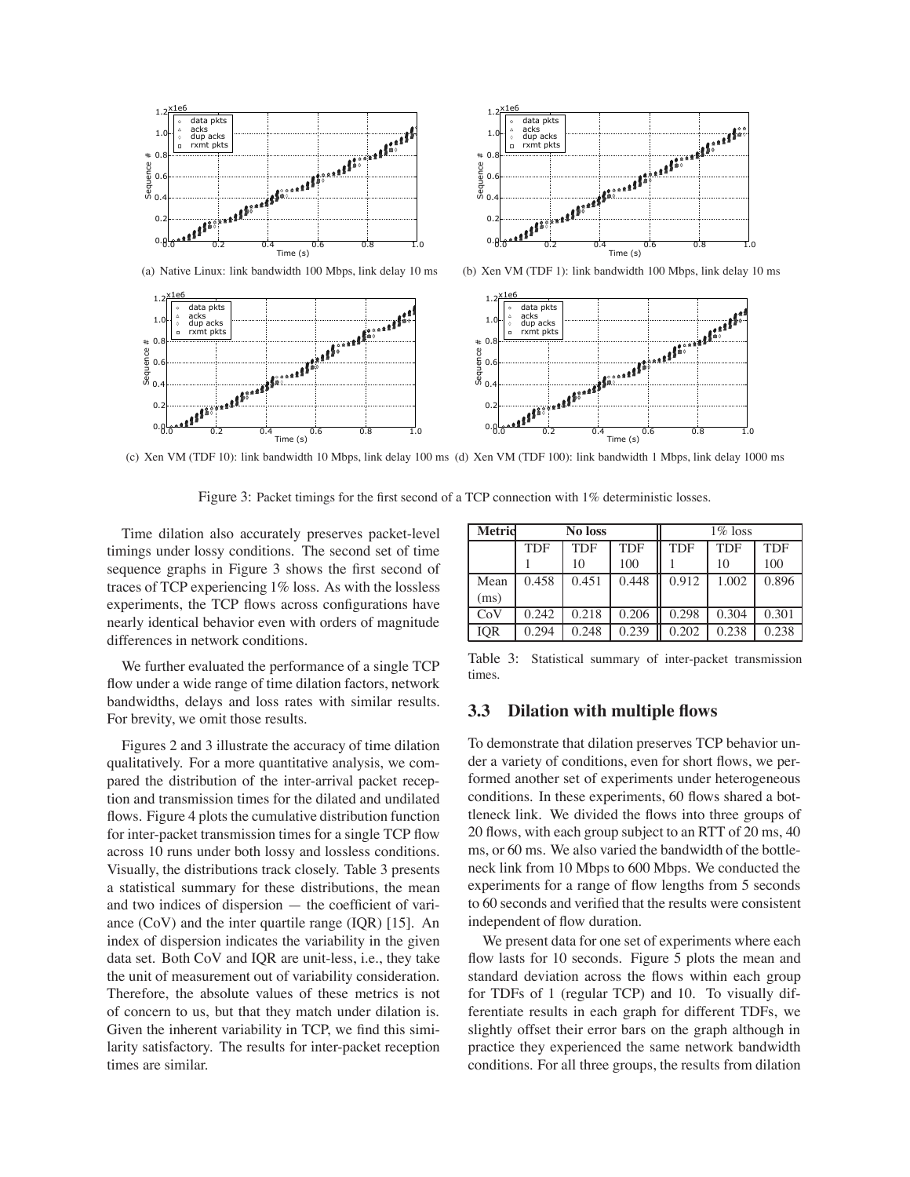



(c) Xen VM (TDF 10): link bandwidth 10 Mbps, link delay 100 ms (d) Xen VM (TDF 100): link bandwidth 1 Mbps, link delay 1000 ms

Figure 3: Packet timings for the first second of a TCP connection with 1% deterministic losses.

Time dilation also accurately preserves packet-level timings under lossy conditions. The second set of time sequence graphs in Figure 3 shows the first second of traces of TCP experiencing 1% loss. As with the lossless experiments, the TCP flows across configurations have nearly identical behavior even with orders of magnitude differences in network conditions.

Seq

We further evaluated the performance of a single TCP flow under a wide range of time dilation factors, network bandwidths, delays and loss rates with similar results. For brevity, we omit those results.

Figures 2 and 3 illustrate the accuracy of time dilation qualitatively. For a more quantitative analysis, we compared the distribution of the inter-arrival packet reception and transmission times for the dilated and undilated flows. Figure 4 plots the cumulative distribution function for inter-packet transmission times for a single TCP flow across 10 runs under both lossy and lossless conditions. Visually, the distributions track closely. Table 3 presents a statistical summary for these distributions, the mean and two indices of dispersion — the coefficient of variance (CoV) and the inter quartile range (IQR) [15]. An index of dispersion indicates the variability in the given data set. Both CoV and IQR are unit-less, i.e., they take the unit of measurement out of variability consideration. Therefore, the absolute values of these metrics is not of concern to us, but that they match under dilation is. Given the inherent variability in TCP, we find this similarity satisfactory. The results for inter-packet reception times are similar.

| <b>Metrid</b> | No loss    |            |            | $1\%$ loss |            |            |
|---------------|------------|------------|------------|------------|------------|------------|
|               | <b>TDF</b> | <b>TDF</b> | <b>TDF</b> | <b>TDF</b> | <b>TDF</b> | <b>TDF</b> |
|               |            | 10         | 100        |            | 10         | 100        |
| Mean          | 0.458      | 0.451      | 0.448      | 0.912      | 1.002      | 0.896      |
| (ms)          |            |            |            |            |            |            |
| CoV           | 0.242      | 0.218      | 0.206      | 0.298      | 0.304      | 0.301      |
| IOR           | 0.294      | 0.248      | 0.239      | 0.202      | 0.238      | 0.238      |

Table 3: Statistical summary of inter-packet transmission times.

## **3.3 Dilation with multiple flows**

To demonstrate that dilation preserves TCP behavior under a variety of conditions, even for short flows, we performed another set of experiments under heterogeneous conditions. In these experiments, 60 flows shared a bottleneck link. We divided the flows into three groups of 20 flows, with each group subject to an RTT of 20 ms, 40 ms, or 60 ms. We also varied the bandwidth of the bottleneck link from 10 Mbps to 600 Mbps. We conducted the experiments for a range of flow lengths from 5 seconds to 60 seconds and verified that the results were consistent independent of flow duration.

We present data for one set of experiments where each flow lasts for 10 seconds. Figure 5 plots the mean and standard deviation across the flows within each group for TDFs of 1 (regular TCP) and 10. To visually differentiate results in each graph for different TDFs, we slightly offset their error bars on the graph although in practice they experienced the same network bandwidth conditions. For all three groups, the results from dilation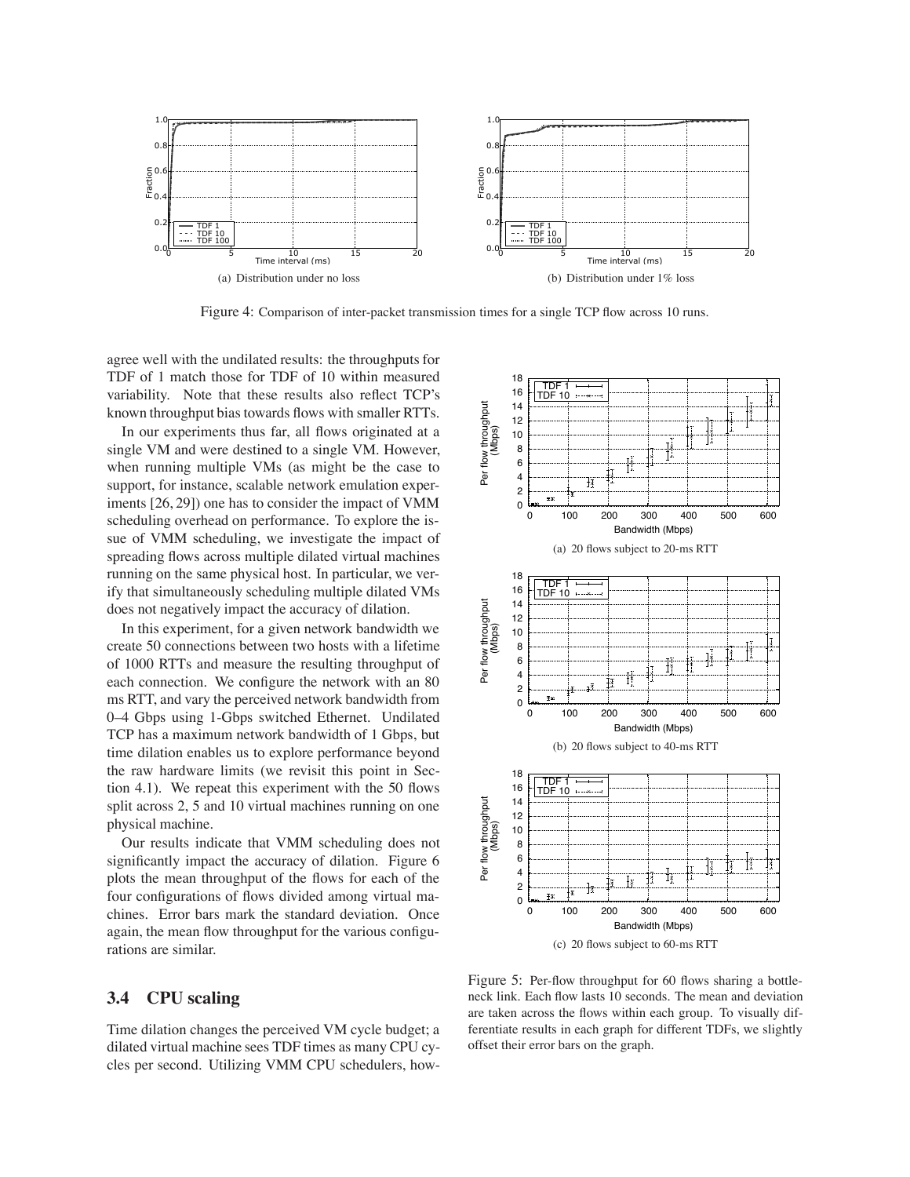

Figure 4: Comparison of inter-packet transmission times for a single TCP flow across 10 runs.

agree well with the undilated results: the throughputs for TDF of 1 match those for TDF of 10 within measured variability. Note that these results also reflect TCP's known throughput bias towards flows with smaller RTTs.

In our experiments thus far, all flows originated at a single VM and were destined to a single VM. However, when running multiple VMs (as might be the case to support, for instance, scalable network emulation experiments [26, 29]) one has to consider the impact of VMM scheduling overhead on performance. To explore the issue of VMM scheduling, we investigate the impact of spreading flows across multiple dilated virtual machines running on the same physical host. In particular, we verify that simultaneously scheduling multiple dilated VMs does not negatively impact the accuracy of dilation.

In this experiment, for a given network bandwidth we create 50 connections between two hosts with a lifetime of 1000 RTTs and measure the resulting throughput of each connection. We configure the network with an 80 ms RTT, and vary the perceived network bandwidth from 0–4 Gbps using 1-Gbps switched Ethernet. Undilated TCP has a maximum network bandwidth of 1 Gbps, but time dilation enables us to explore performance beyond the raw hardware limits (we revisit this point in Section 4.1). We repeat this experiment with the 50 flows split across 2, 5 and 10 virtual machines running on one physical machine.

Our results indicate that VMM scheduling does not significantly impact the accuracy of dilation. Figure 6 plots the mean throughput of the flows for each of the four configurations of flows divided among virtual machines. Error bars mark the standard deviation. Once again, the mean flow throughput for the various configurations are similar.

# **3.4 CPU scaling**

Time dilation changes the perceived VM cycle budget; a dilated virtual machine sees TDF times as many CPU cycles per second. Utilizing VMM CPU schedulers, how-



Figure 5: Per-flow throughput for 60 flows sharing a bottleneck link. Each flow lasts 10 seconds. The mean and deviation are taken across the flows within each group. To visually differentiate results in each graph for different TDFs, we slightly offset their error bars on the graph.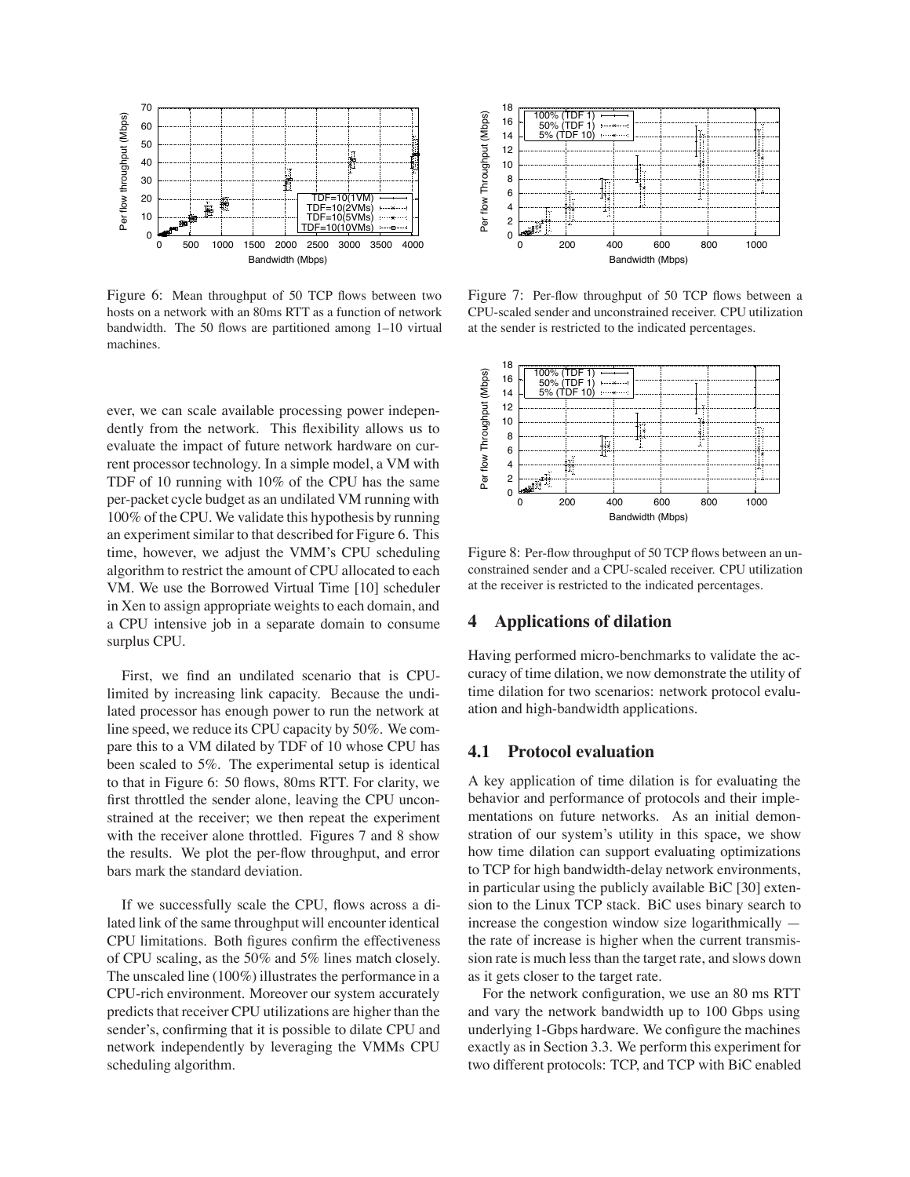

Figure 6: Mean throughput of 50 TCP flows between two hosts on a network with an 80ms RTT as a function of network bandwidth. The 50 flows are partitioned among 1–10 virtual machines.

ever, we can scale available processing power independently from the network. This flexibility allows us to evaluate the impact of future network hardware on current processor technology. In a simple model, a VM with TDF of 10 running with 10% of the CPU has the same per-packet cycle budget as an undilated VM running with 100% of the CPU. We validate this hypothesis by running an experiment similar to that described for Figure 6. This time, however, we adjust the VMM's CPU scheduling algorithm to restrict the amount of CPU allocated to each VM. We use the Borrowed Virtual Time [10] scheduler in Xen to assign appropriate weights to each domain, and a CPU intensive job in a separate domain to consume surplus CPU.

First, we find an undilated scenario that is CPUlimited by increasing link capacity. Because the undilated processor has enough power to run the network at line speed, we reduce its CPU capacity by 50%. We compare this to a VM dilated by TDF of 10 whose CPU has been scaled to 5%. The experimental setup is identical to that in Figure 6: 50 flows, 80ms RTT. For clarity, we first throttled the sender alone, leaving the CPU unconstrained at the receiver; we then repeat the experiment with the receiver alone throttled. Figures 7 and 8 show the results. We plot the per-flow throughput, and error bars mark the standard deviation.

If we successfully scale the CPU, flows across a dilated link of the same throughput will encounter identical CPU limitations. Both figures confirm the effectiveness of CPU scaling, as the 50% and 5% lines match closely. The unscaled line (100%) illustrates the performance in a CPU-rich environment. Moreover our system accurately predicts that receiver CPU utilizations are higher than the sender's, confirming that it is possible to dilate CPU and network independently by leveraging the VMMs CPU scheduling algorithm.



Figure 7: Per-flow throughput of 50 TCP flows between a CPU-scaled sender and unconstrained receiver. CPU utilization at the sender is restricted to the indicated percentages.



Figure 8: Per-flow throughput of 50 TCP flows between an unconstrained sender and a CPU-scaled receiver. CPU utilization at the receiver is restricted to the indicated percentages.

## **4 Applications of dilation**

Having performed micro-benchmarks to validate the accuracy of time dilation, we now demonstrate the utility of time dilation for two scenarios: network protocol evaluation and high-bandwidth applications.

#### **4.1 Protocol evaluation**

A key application of time dilation is for evaluating the behavior and performance of protocols and their implementations on future networks. As an initial demonstration of our system's utility in this space, we show how time dilation can support evaluating optimizations to TCP for high bandwidth-delay network environments, in particular using the publicly available BiC [30] extension to the Linux TCP stack. BiC uses binary search to increase the congestion window size logarithmically the rate of increase is higher when the current transmission rate is much less than the target rate, and slows down as it gets closer to the target rate.

For the network configuration, we use an 80 ms RTT and vary the network bandwidth up to 100 Gbps using underlying 1-Gbps hardware. We configure the machines exactly as in Section 3.3. We perform this experiment for two different protocols: TCP, and TCP with BiC enabled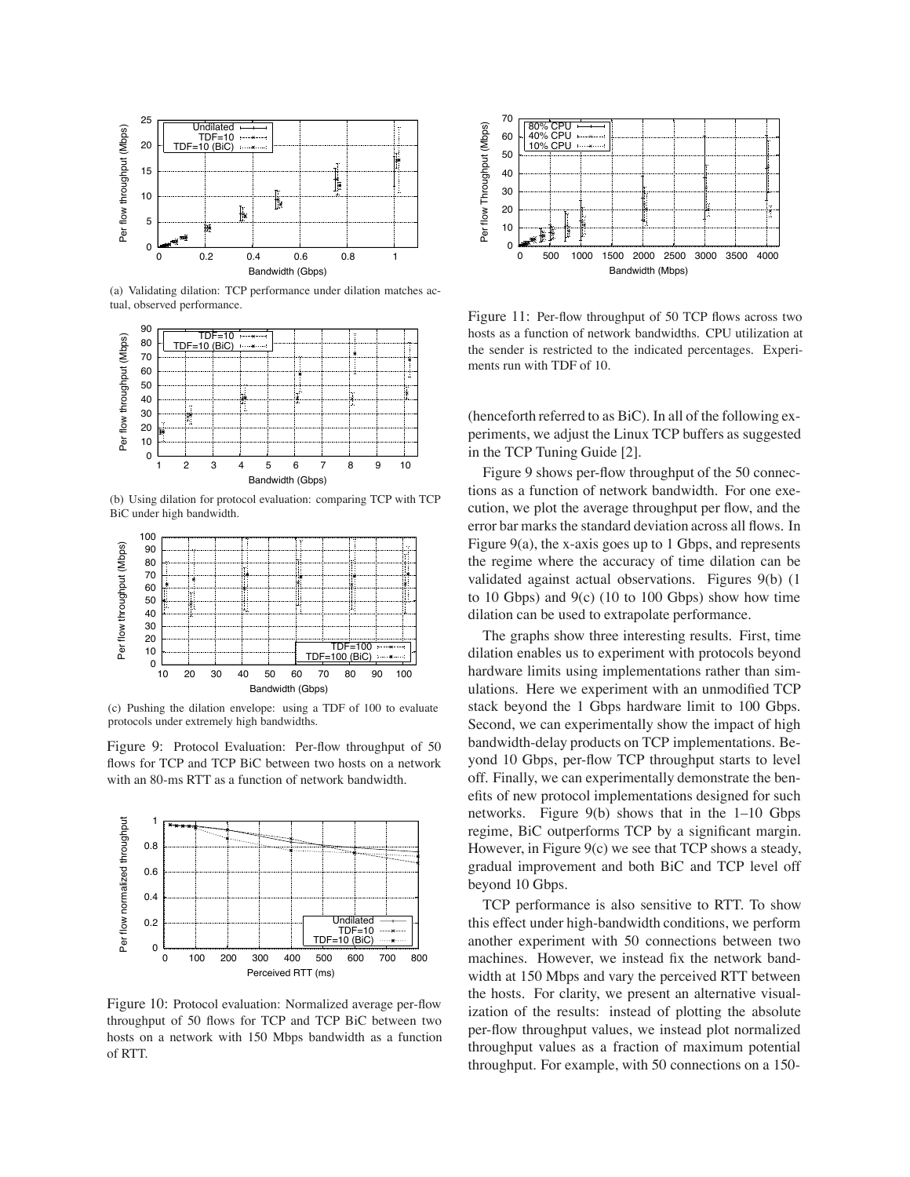

(a) Validating dilation: TCP performance under dilation matches actual, observed performance.



(b) Using dilation for protocol evaluation: comparing TCP with TCP BiC under high bandwidth.



(c) Pushing the dilation envelope: using a TDF of 100 to evaluate protocols under extremely high bandwidths.

Figure 9: Protocol Evaluation: Per-flow throughput of 50 flows for TCP and TCP BiC between two hosts on a network with an 80-ms RTT as a function of network bandwidth.



Figure 10: Protocol evaluation: Normalized average per-flow throughput of 50 flows for TCP and TCP BiC between two hosts on a network with 150 Mbps bandwidth as a function of RTT.



Figure 11: Per-flow throughput of 50 TCP flows across two hosts as a function of network bandwidths. CPU utilization at the sender is restricted to the indicated percentages. Experiments run with TDF of 10.

(henceforth referred to as BiC). In all of the following experiments, we adjust the Linux TCP buffers as suggested in the TCP Tuning Guide [2].

Figure 9 shows per-flow throughput of the 50 connections as a function of network bandwidth. For one execution, we plot the average throughput per flow, and the error bar marks the standard deviation across all flows. In Figure  $9(a)$ , the x-axis goes up to 1 Gbps, and represents the regime where the accuracy of time dilation can be validated against actual observations. Figures 9(b) (1 to 10 Gbps) and  $9(c)$  (10 to 100 Gbps) show how time dilation can be used to extrapolate performance.

The graphs show three interesting results. First, time dilation enables us to experiment with protocols beyond hardware limits using implementations rather than simulations. Here we experiment with an unmodified TCP stack beyond the 1 Gbps hardware limit to 100 Gbps. Second, we can experimentally show the impact of high bandwidth-delay products on TCP implementations. Beyond 10 Gbps, per-flow TCP throughput starts to level off. Finally, we can experimentally demonstrate the benefits of new protocol implementations designed for such networks. Figure 9(b) shows that in the 1–10 Gbps regime, BiC outperforms TCP by a significant margin. However, in Figure 9(c) we see that TCP shows a steady, gradual improvement and both BiC and TCP level off beyond 10 Gbps.

TCP performance is also sensitive to RTT. To show this effect under high-bandwidth conditions, we perform another experiment with 50 connections between two machines. However, we instead fix the network bandwidth at 150 Mbps and vary the perceived RTT between the hosts. For clarity, we present an alternative visualization of the results: instead of plotting the absolute per-flow throughput values, we instead plot normalized throughput values as a fraction of maximum potential throughput. For example, with 50 connections on a 150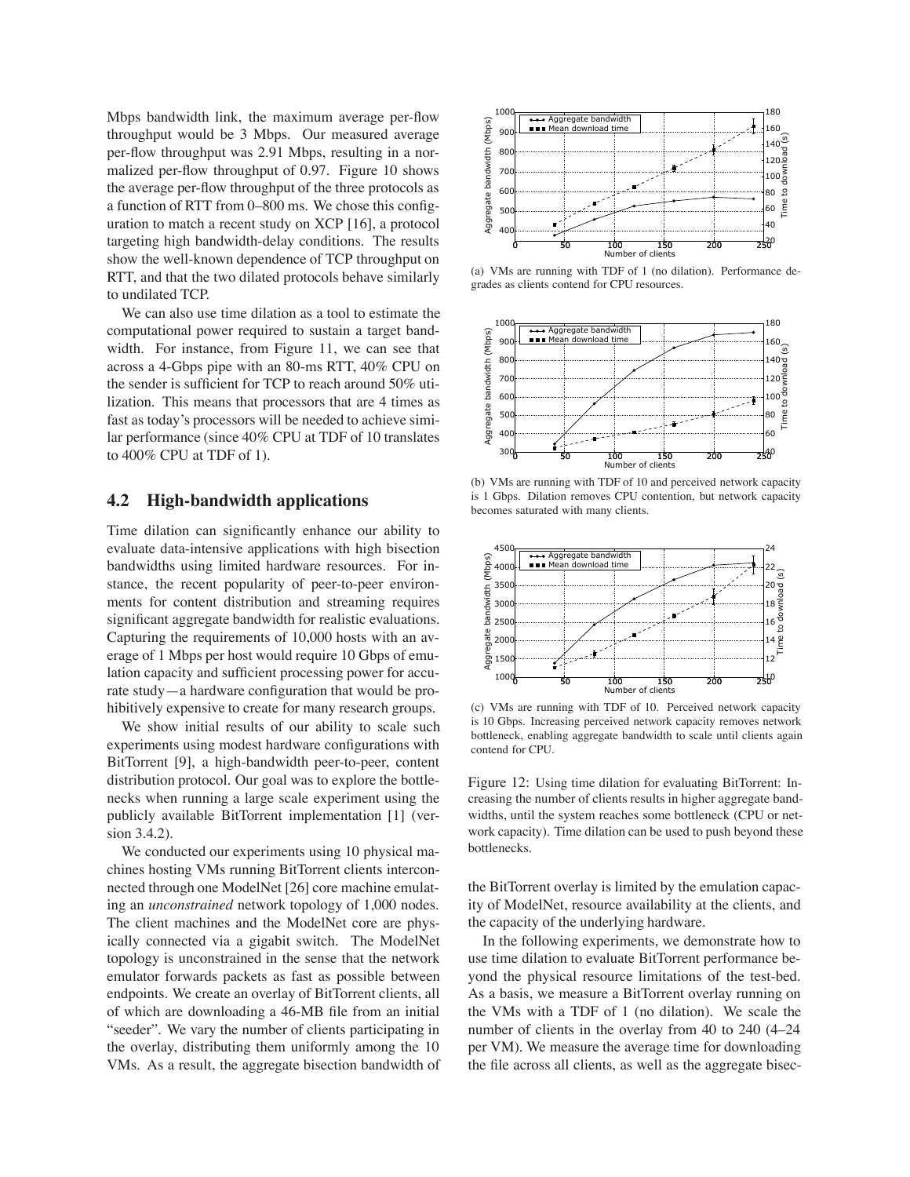Mbps bandwidth link, the maximum average per-flow throughput would be 3 Mbps. Our measured average per-flow throughput was 2.91 Mbps, resulting in a normalized per-flow throughput of 0.97. Figure 10 shows the average per-flow throughput of the three protocols as a function of RTT from 0–800 ms. We chose this configuration to match a recent study on XCP [16], a protocol targeting high bandwidth-delay conditions. The results show the well-known dependence of TCP throughput on RTT, and that the two dilated protocols behave similarly to undilated TCP.

We can also use time dilation as a tool to estimate the computational power required to sustain a target bandwidth. For instance, from Figure 11, we can see that across a 4-Gbps pipe with an 80-ms RTT, 40% CPU on the sender is sufficient for TCP to reach around 50% utilization. This means that processors that are 4 times as fast as today's processors will be needed to achieve similar performance (since 40% CPU at TDF of 10 translates to 400% CPU at TDF of 1).

#### **4.2 High-bandwidth applications**

Time dilation can significantly enhance our ability to evaluate data-intensive applications with high bisection bandwidths using limited hardware resources. For instance, the recent popularity of peer-to-peer environments for content distribution and streaming requires significant aggregate bandwidth for realistic evaluations. Capturing the requirements of 10,000 hosts with an average of 1 Mbps per host would require 10 Gbps of emulation capacity and sufficient processing power for accurate study—a hardware configuration that would be prohibitively expensive to create for many research groups.

We show initial results of our ability to scale such experiments using modest hardware configurations with BitTorrent [9], a high-bandwidth peer-to-peer, content distribution protocol. Our goal was to explore the bottlenecks when running a large scale experiment using the publicly available BitTorrent implementation [1] (version 3.4.2).

We conducted our experiments using 10 physical machines hosting VMs running BitTorrent clients interconnected through one ModelNet [26] core machine emulating an *unconstrained* network topology of 1,000 nodes. The client machines and the ModelNet core are physically connected via a gigabit switch. The ModelNet topology is unconstrained in the sense that the network emulator forwards packets as fast as possible between endpoints. We create an overlay of BitTorrent clients, all of which are downloading a 46-MB file from an initial "seeder". We vary the number of clients participating in the overlay, distributing them uniformly among the 10 VMs. As a result, the aggregate bisection bandwidth of



(a) VMs are running with TDF of 1 (no dilation). Performance degrades as clients contend for CPU resources.



(b) VMs are running with TDF of 10 and perceived network capacity is 1 Gbps. Dilation removes CPU contention, but network capacity becomes saturated with many clients.



(c) VMs are running with TDF of 10. Perceived network capacity is 10 Gbps. Increasing perceived network capacity removes network bottleneck, enabling aggregate bandwidth to scale until clients again contend for CPU.

Figure 12: Using time dilation for evaluating BitTorrent: Increasing the number of clients results in higher aggregate bandwidths, until the system reaches some bottleneck (CPU or network capacity). Time dilation can be used to push beyond these bottlenecks.

the BitTorrent overlay is limited by the emulation capacity of ModelNet, resource availability at the clients, and the capacity of the underlying hardware.

In the following experiments, we demonstrate how to use time dilation to evaluate BitTorrent performance beyond the physical resource limitations of the test-bed. As a basis, we measure a BitTorrent overlay running on the VMs with a TDF of 1 (no dilation). We scale the number of clients in the overlay from 40 to 240 (4–24 per VM). We measure the average time for downloading the file across all clients, as well as the aggregate bisec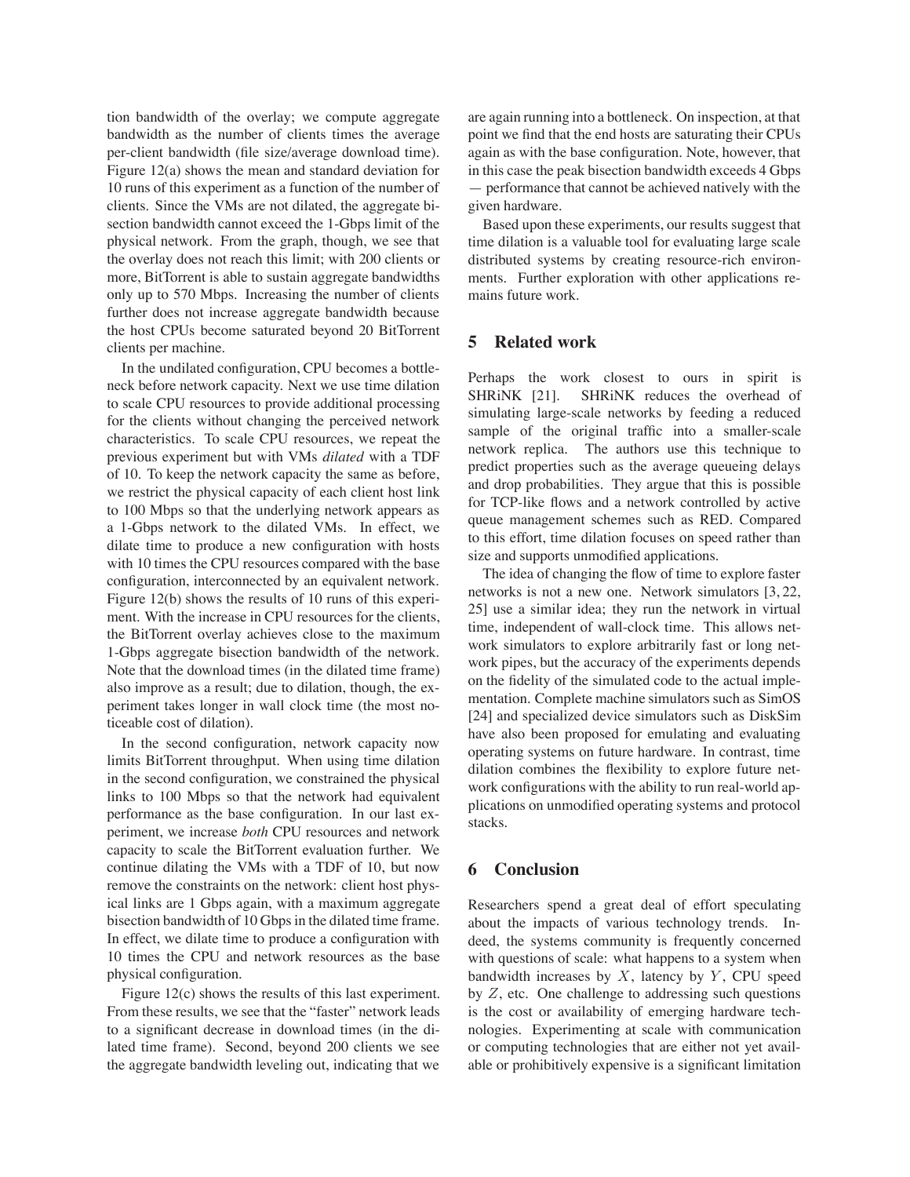tion bandwidth of the overlay; we compute aggregate bandwidth as the number of clients times the average per-client bandwidth (file size/average download time). Figure 12(a) shows the mean and standard deviation for 10 runs of this experiment as a function of the number of clients. Since the VMs are not dilated, the aggregate bisection bandwidth cannot exceed the 1-Gbps limit of the physical network. From the graph, though, we see that the overlay does not reach this limit; with 200 clients or more, BitTorrent is able to sustain aggregate bandwidths only up to 570 Mbps. Increasing the number of clients further does not increase aggregate bandwidth because the host CPUs become saturated beyond 20 BitTorrent clients per machine.

In the undilated configuration, CPU becomes a bottleneck before network capacity. Next we use time dilation to scale CPU resources to provide additional processing for the clients without changing the perceived network characteristics. To scale CPU resources, we repeat the previous experiment but with VMs *dilated* with a TDF of 10. To keep the network capacity the same as before, we restrict the physical capacity of each client host link to 100 Mbps so that the underlying network appears as a 1-Gbps network to the dilated VMs. In effect, we dilate time to produce a new configuration with hosts with 10 times the CPU resources compared with the base configuration, interconnected by an equivalent network. Figure 12(b) shows the results of 10 runs of this experiment. With the increase in CPU resources for the clients, the BitTorrent overlay achieves close to the maximum 1-Gbps aggregate bisection bandwidth of the network. Note that the download times (in the dilated time frame) also improve as a result; due to dilation, though, the experiment takes longer in wall clock time (the most noticeable cost of dilation).

In the second configuration, network capacity now limits BitTorrent throughput. When using time dilation in the second configuration, we constrained the physical links to 100 Mbps so that the network had equivalent performance as the base configuration. In our last experiment, we increase *both* CPU resources and network capacity to scale the BitTorrent evaluation further. We continue dilating the VMs with a TDF of 10, but now remove the constraints on the network: client host physical links are 1 Gbps again, with a maximum aggregate bisection bandwidth of 10 Gbps in the dilated time frame. In effect, we dilate time to produce a configuration with 10 times the CPU and network resources as the base physical configuration.

Figure 12(c) shows the results of this last experiment. From these results, we see that the "faster" network leads to a significant decrease in download times (in the dilated time frame). Second, beyond 200 clients we see the aggregate bandwidth leveling out, indicating that we

are again running into a bottleneck. On inspection, at that point we find that the end hosts are saturating their CPUs again as with the base configuration. Note, however, that in this case the peak bisection bandwidth exceeds 4 Gbps — performance that cannot be achieved natively with the given hardware.

Based upon these experiments, our results suggest that time dilation is a valuable tool for evaluating large scale distributed systems by creating resource-rich environments. Further exploration with other applications remains future work.

## **5 Related work**

Perhaps the work closest to ours in spirit is SHRINK [21]. SHRINK reduces the overhead of simulating large-scale networks by feeding a reduced sample of the original traffic into a smaller-scale network replica. The authors use this technique to predict properties such as the average queueing delays and drop probabilities. They argue that this is possible for TCP-like flows and a network controlled by active queue management schemes such as RED. Compared to this effort, time dilation focuses on speed rather than size and supports unmodified applications.

The idea of changing the flow of time to explore faster networks is not a new one. Network simulators [3, 22, 25] use a similar idea; they run the network in virtual time, independent of wall-clock time. This allows network simulators to explore arbitrarily fast or long network pipes, but the accuracy of the experiments depends on the fidelity of the simulated code to the actual implementation. Complete machine simulators such as SimOS [24] and specialized device simulators such as DiskSim have also been proposed for emulating and evaluating operating systems on future hardware. In contrast, time dilation combines the flexibility to explore future network configurations with the ability to run real-world applications on unmodified operating systems and protocol stacks.

### **6 Conclusion**

Researchers spend a great deal of effort speculating about the impacts of various technology trends. Indeed, the systems community is frequently concerned with questions of scale: what happens to a system when bandwidth increases by  $X$ , latency by  $Y$ , CPU speed by  $Z$ , etc. One challenge to addressing such questions is the cost or availability of emerging hardware technologies. Experimenting at scale with communication or computing technologies that are either not yet available or prohibitively expensive is a significant limitation